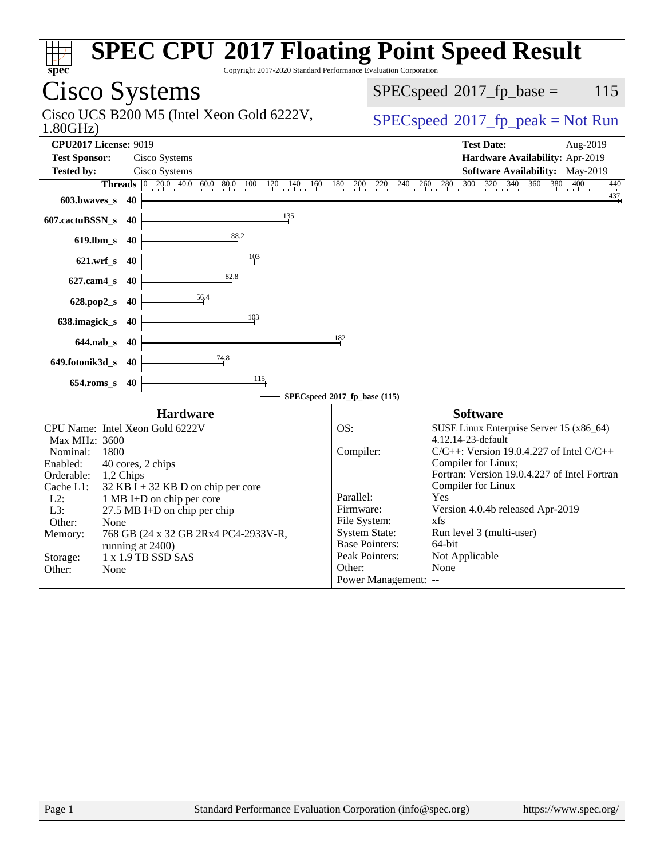| spec                                                                                                                                                                                                                                                                                                                                                                                                                                | <b>SPEC CPU®2017 Floating Point Speed Result</b><br>Copyright 2017-2020 Standard Performance Evaluation Corporation                                                                                                                                                                                                                                                                                                                                                                                                  |
|-------------------------------------------------------------------------------------------------------------------------------------------------------------------------------------------------------------------------------------------------------------------------------------------------------------------------------------------------------------------------------------------------------------------------------------|----------------------------------------------------------------------------------------------------------------------------------------------------------------------------------------------------------------------------------------------------------------------------------------------------------------------------------------------------------------------------------------------------------------------------------------------------------------------------------------------------------------------|
| Cisco Systems                                                                                                                                                                                                                                                                                                                                                                                                                       | $SPEC speed^{\circ}2017\_fp\_base =$<br>115                                                                                                                                                                                                                                                                                                                                                                                                                                                                          |
| Cisco UCS B200 M5 (Intel Xeon Gold 6222V,<br>1.80GHz                                                                                                                                                                                                                                                                                                                                                                                | $SPEC speed^{\circ}2017\_fp\_peak = Not Run$                                                                                                                                                                                                                                                                                                                                                                                                                                                                         |
| <b>CPU2017 License: 9019</b><br><b>Test Sponsor:</b><br>Cisco Systems<br>Cisco Systems<br><b>Tested by:</b>                                                                                                                                                                                                                                                                                                                         | <b>Test Date:</b><br>Aug-2019<br>Hardware Availability: Apr-2019<br>Software Availability: May-2019                                                                                                                                                                                                                                                                                                                                                                                                                  |
| <b>Threads</b> $\begin{bmatrix} 0 & 20.0 & 40.0 & 60.0 & 80.0 & 100 \end{bmatrix}$<br>$120 \t140 \t160$                                                                                                                                                                                                                                                                                                                             | $\frac{320}{1}$<br>260 280 300<br>$\frac{340}{1}$<br>360<br>380<br>400<br>$180$ $200$ $220$<br>$^{240}$<br>440<br>$\frac{437}{4}$                                                                                                                                                                                                                                                                                                                                                                                    |
| 603.bwaves_s<br>40<br>135                                                                                                                                                                                                                                                                                                                                                                                                           |                                                                                                                                                                                                                                                                                                                                                                                                                                                                                                                      |
| 607.cactuBSSN_s<br>40<br>88.2                                                                                                                                                                                                                                                                                                                                                                                                       |                                                                                                                                                                                                                                                                                                                                                                                                                                                                                                                      |
| $619$ .lbm_s<br>40<br>103                                                                                                                                                                                                                                                                                                                                                                                                           |                                                                                                                                                                                                                                                                                                                                                                                                                                                                                                                      |
| $621.wrf$ <sub>S</sub><br>40<br>82.8                                                                                                                                                                                                                                                                                                                                                                                                |                                                                                                                                                                                                                                                                                                                                                                                                                                                                                                                      |
| $627$ .cam $4_s$<br>40<br>56.4                                                                                                                                                                                                                                                                                                                                                                                                      |                                                                                                                                                                                                                                                                                                                                                                                                                                                                                                                      |
| 628.pop2_s<br>40<br>103                                                                                                                                                                                                                                                                                                                                                                                                             |                                                                                                                                                                                                                                                                                                                                                                                                                                                                                                                      |
| 638.imagick_s<br>40                                                                                                                                                                                                                                                                                                                                                                                                                 | 182                                                                                                                                                                                                                                                                                                                                                                                                                                                                                                                  |
| $644$ .nab s<br>-40<br>74.8                                                                                                                                                                                                                                                                                                                                                                                                         |                                                                                                                                                                                                                                                                                                                                                                                                                                                                                                                      |
| 649.fotonik3d_s<br>-40<br>115                                                                                                                                                                                                                                                                                                                                                                                                       |                                                                                                                                                                                                                                                                                                                                                                                                                                                                                                                      |
| $654$ .roms_s<br>40                                                                                                                                                                                                                                                                                                                                                                                                                 | SPECspeed®2017_fp_base (115)                                                                                                                                                                                                                                                                                                                                                                                                                                                                                         |
| <b>Hardware</b><br>CPU Name: Intel Xeon Gold 6222V<br>Max MHz: 3600<br>Nominal:<br>1800<br>Enabled:<br>40 cores, 2 chips<br>Orderable:<br>1,2 Chips<br>Cache L1:<br>$32$ KB I + 32 KB D on chip per core<br>$L2$ :<br>1 MB I+D on chip per core<br>L3:<br>27.5 MB I+D on chip per chip<br>Other:<br>None<br>768 GB (24 x 32 GB 2Rx4 PC4-2933V-R,<br>Memory:<br>running at 2400)<br>1 x 1.9 TB SSD SAS<br>Storage:<br>Other:<br>None | <b>Software</b><br>OS:<br>SUSE Linux Enterprise Server 15 (x86_64)<br>4.12.14-23-default<br>Compiler:<br>$C/C++$ : Version 19.0.4.227 of Intel $C/C++$<br>Compiler for Linux;<br>Fortran: Version 19.0.4.227 of Intel Fortran<br>Compiler for Linux<br>Parallel:<br>Yes<br>Version 4.0.4b released Apr-2019<br>Firmware:<br>File System:<br>xfs<br><b>System State:</b><br>Run level 3 (multi-user)<br><b>Base Pointers:</b><br>64-bit<br>Peak Pointers:<br>Not Applicable<br>Other:<br>None<br>Power Management: -- |
| Page 1                                                                                                                                                                                                                                                                                                                                                                                                                              | Standard Performance Evaluation Corporation (info@spec.org)<br>https://www.spec.org/                                                                                                                                                                                                                                                                                                                                                                                                                                 |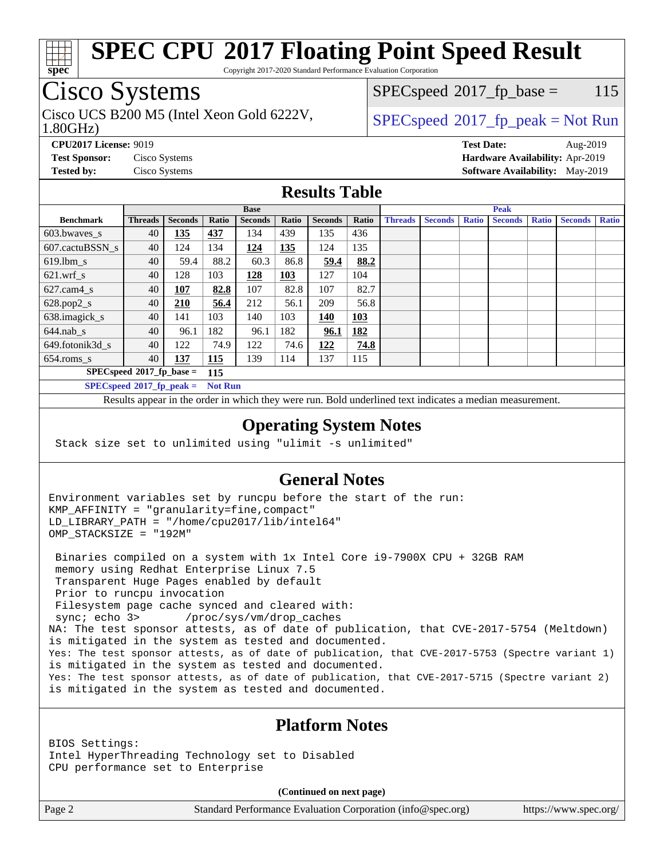

Copyright 2017-2020 Standard Performance Evaluation Corporation

# Cisco Systems

Cisco UCS B200 M5 (Intel Xeon Gold 6222V,  $SPECspeed^{\circ}2017\_fp\_peak = Not Run$  $SPECspeed^{\circ}2017\_fp\_peak = Not Run$ 

 $SPECspeed^{\circ}2017\_fp\_base = 115$  $SPECspeed^{\circ}2017\_fp\_base = 115$ 

### 1.80GHz)

**[CPU2017 License:](http://www.spec.org/auto/cpu2017/Docs/result-fields.html#CPU2017License)** 9019 **[Test Date:](http://www.spec.org/auto/cpu2017/Docs/result-fields.html#TestDate)** Aug-2019

**[Test Sponsor:](http://www.spec.org/auto/cpu2017/Docs/result-fields.html#TestSponsor)** Cisco Systems **[Hardware Availability:](http://www.spec.org/auto/cpu2017/Docs/result-fields.html#HardwareAvailability)** Apr-2019 **[Tested by:](http://www.spec.org/auto/cpu2017/Docs/result-fields.html#Testedby)** Cisco Systems **[Software Availability:](http://www.spec.org/auto/cpu2017/Docs/result-fields.html#SoftwareAvailability)** May-2019

## **[Results Table](http://www.spec.org/auto/cpu2017/Docs/result-fields.html#ResultsTable)**

|                                    | <b>Base</b>    |                |                |                |       | <b>Peak</b>    |            |                |                |              |                |              |                |              |
|------------------------------------|----------------|----------------|----------------|----------------|-------|----------------|------------|----------------|----------------|--------------|----------------|--------------|----------------|--------------|
| <b>Benchmark</b>                   | <b>Threads</b> | <b>Seconds</b> | Ratio          | <b>Seconds</b> | Ratio | <b>Seconds</b> | Ratio      | <b>Threads</b> | <b>Seconds</b> | <b>Ratio</b> | <b>Seconds</b> | <b>Ratio</b> | <b>Seconds</b> | <b>Ratio</b> |
| 603.bwayes s                       | 40             | 135            | 437            | 134            | 439   | 135            | 436        |                |                |              |                |              |                |              |
| 607.cactuBSSN s                    | 40             | 124            | 134            | 124            | 135   | 124            | 135        |                |                |              |                |              |                |              |
| $619.$ lbm_s                       | 40             | 59.4           | 88.2           | 60.3           | 86.8  | 59.4           | 88.2       |                |                |              |                |              |                |              |
| $621.wrf$ s                        | 40             | 128            | 103            | 128            | 103   | 127            | 104        |                |                |              |                |              |                |              |
| $627$ .cam4 s                      | 40             | 107            | 82.8           | 107            | 82.8  | 107            | 82.7       |                |                |              |                |              |                |              |
| $628.pop2_s$                       | 40             | 210            | 56.4           | 212            | 56.1  | 209            | 56.8       |                |                |              |                |              |                |              |
| 638.imagick_s                      | 40             | 141            | 103            | 140            | 103   | 140            | 103        |                |                |              |                |              |                |              |
| $644$ .nab s                       | 40             | 96.1           | 182            | 96.1           | 182   | 96.1           | <u>182</u> |                |                |              |                |              |                |              |
| 649.fotonik3d s                    | 40             | 122            | 74.9           | 122            | 74.6  | 122            | 74.8       |                |                |              |                |              |                |              |
| $654$ .roms s                      | 40             | 137            | <b>115</b>     | 139            | 114   | 137            | 115        |                |                |              |                |              |                |              |
| $SPECspeed*2017_fp\_base =$<br>115 |                |                |                |                |       |                |            |                |                |              |                |              |                |              |
| $SPECspeed*2017_fp\_peak =$        |                |                | <b>Not Run</b> |                |       |                |            |                |                |              |                |              |                |              |

Results appear in the [order in which they were run.](http://www.spec.org/auto/cpu2017/Docs/result-fields.html#RunOrder) Bold underlined text [indicates a median measurement](http://www.spec.org/auto/cpu2017/Docs/result-fields.html#Median).

### **[Operating System Notes](http://www.spec.org/auto/cpu2017/Docs/result-fields.html#OperatingSystemNotes)**

Stack size set to unlimited using "ulimit -s unlimited"

## **[General Notes](http://www.spec.org/auto/cpu2017/Docs/result-fields.html#GeneralNotes)**

Environment variables set by runcpu before the start of the run: KMP\_AFFINITY = "granularity=fine,compact" LD\_LIBRARY\_PATH = "/home/cpu2017/lib/intel64" OMP\_STACKSIZE = "192M"

 Binaries compiled on a system with 1x Intel Core i9-7900X CPU + 32GB RAM memory using Redhat Enterprise Linux 7.5 Transparent Huge Pages enabled by default Prior to runcpu invocation Filesystem page cache synced and cleared with: sync; echo 3> /proc/sys/vm/drop\_caches NA: The test sponsor attests, as of date of publication, that CVE-2017-5754 (Meltdown) is mitigated in the system as tested and documented. Yes: The test sponsor attests, as of date of publication, that CVE-2017-5753 (Spectre variant 1) is mitigated in the system as tested and documented. Yes: The test sponsor attests, as of date of publication, that CVE-2017-5715 (Spectre variant 2) is mitigated in the system as tested and documented.

## **[Platform Notes](http://www.spec.org/auto/cpu2017/Docs/result-fields.html#PlatformNotes)**

BIOS Settings: Intel HyperThreading Technology set to Disabled CPU performance set to Enterprise

**(Continued on next page)**

Page 2 Standard Performance Evaluation Corporation [\(info@spec.org\)](mailto:info@spec.org) <https://www.spec.org/>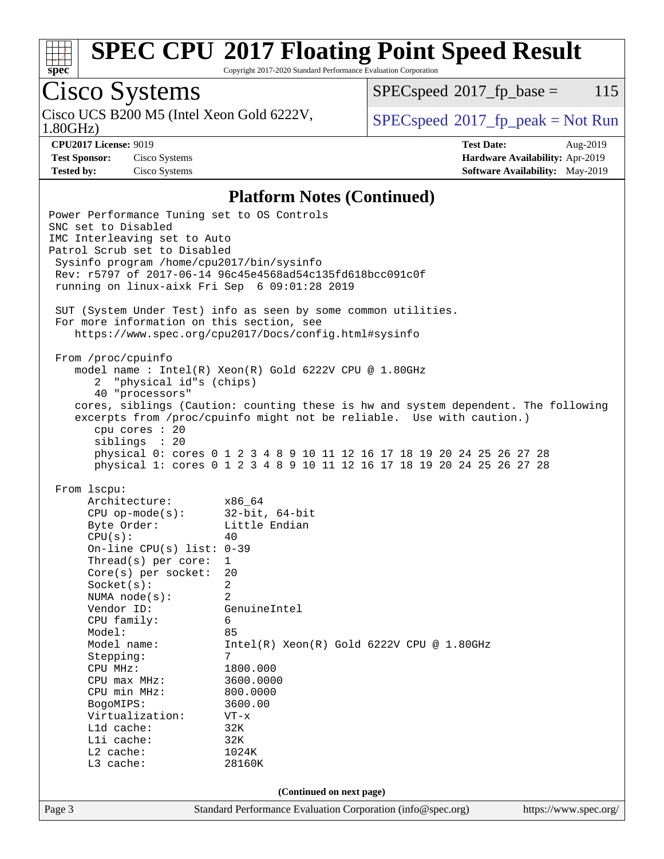

Copyright 2017-2020 Standard Performance Evaluation Corporation

# Cisco Systems

1.80GHz) Cisco UCS B200 M5 (Intel Xeon Gold 6222V,  $\begin{array}{c|c} | \text{SPECspeed} \text{?} 2017\_fp\_peak = Not Run \end{array}$  $\begin{array}{c|c} | \text{SPECspeed} \text{?} 2017\_fp\_peak = Not Run \end{array}$  $\begin{array}{c|c} | \text{SPECspeed} \text{?} 2017\_fp\_peak = Not Run \end{array}$ 

 $SPECspeed^{\circ}2017\_fp\_base = 115$  $SPECspeed^{\circ}2017\_fp\_base = 115$ 

**[CPU2017 License:](http://www.spec.org/auto/cpu2017/Docs/result-fields.html#CPU2017License)** 9019 **[Test Date:](http://www.spec.org/auto/cpu2017/Docs/result-fields.html#TestDate)** Aug-2019 **[Test Sponsor:](http://www.spec.org/auto/cpu2017/Docs/result-fields.html#TestSponsor)** Cisco Systems **[Hardware Availability:](http://www.spec.org/auto/cpu2017/Docs/result-fields.html#HardwareAvailability)** Apr-2019 **[Tested by:](http://www.spec.org/auto/cpu2017/Docs/result-fields.html#Testedby)** Cisco Systems **[Software Availability:](http://www.spec.org/auto/cpu2017/Docs/result-fields.html#SoftwareAvailability)** May-2019

### **[Platform Notes \(Continued\)](http://www.spec.org/auto/cpu2017/Docs/result-fields.html#PlatformNotes)**

Page 3 Standard Performance Evaluation Corporation [\(info@spec.org\)](mailto:info@spec.org) <https://www.spec.org/> Power Performance Tuning set to OS Controls SNC set to Disabled IMC Interleaving set to Auto Patrol Scrub set to Disabled Sysinfo program /home/cpu2017/bin/sysinfo Rev: r5797 of 2017-06-14 96c45e4568ad54c135fd618bcc091c0f running on linux-aixk Fri Sep 6 09:01:28 2019 SUT (System Under Test) info as seen by some common utilities. For more information on this section, see <https://www.spec.org/cpu2017/Docs/config.html#sysinfo> From /proc/cpuinfo model name : Intel(R) Xeon(R) Gold 6222V CPU @ 1.80GHz 2 "physical id"s (chips) 40 "processors" cores, siblings (Caution: counting these is hw and system dependent. The following excerpts from /proc/cpuinfo might not be reliable. Use with caution.) cpu cores : 20 siblings : 20 physical 0: cores 0 1 2 3 4 8 9 10 11 12 16 17 18 19 20 24 25 26 27 28 physical 1: cores 0 1 2 3 4 8 9 10 11 12 16 17 18 19 20 24 25 26 27 28 From lscpu: Architecture: x86\_64 CPU op-mode(s): 32-bit, 64-bit Byte Order: Little Endian  $CPU(s):$  40 On-line CPU(s) list: 0-39 Thread(s) per core: 1 Core(s) per socket: 20 Socket(s): 2 NUMA node(s): 2 Vendor ID: GenuineIntel CPU family: 6 Model: 85 Model name: Intel(R) Xeon(R) Gold 6222V CPU @ 1.80GHz Stepping: 7 CPU MHz: 1800.000 CPU max MHz: 3600.0000<br>CPU min MHz: 800.0000  $CPU$  min  $MHz$ : BogoMIPS: 3600.00 Virtualization: VT-x L1d cache: 32K<br>
L1i cache: 32K  $L1i$  cache: L2 cache: 1024K L3 cache: 28160K **(Continued on next page)**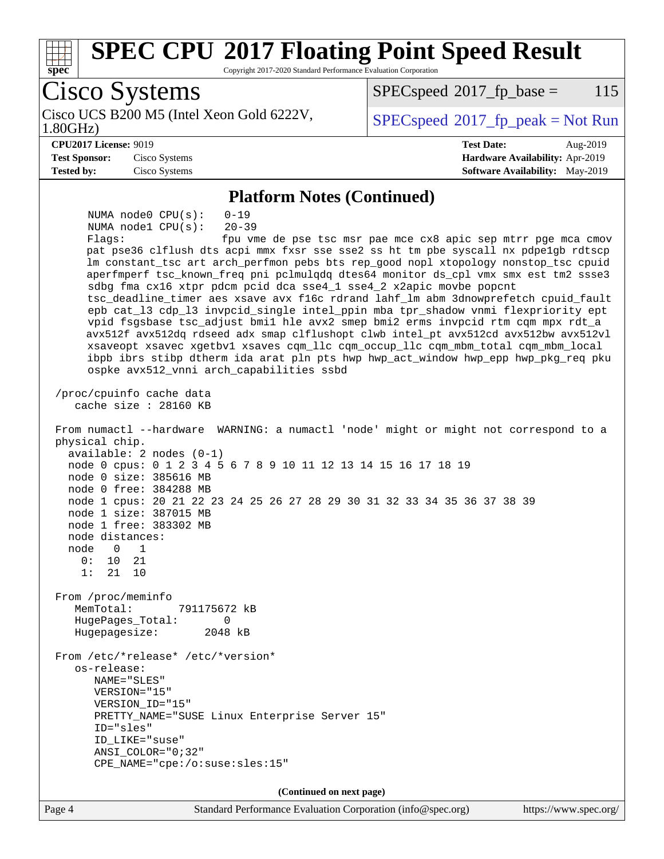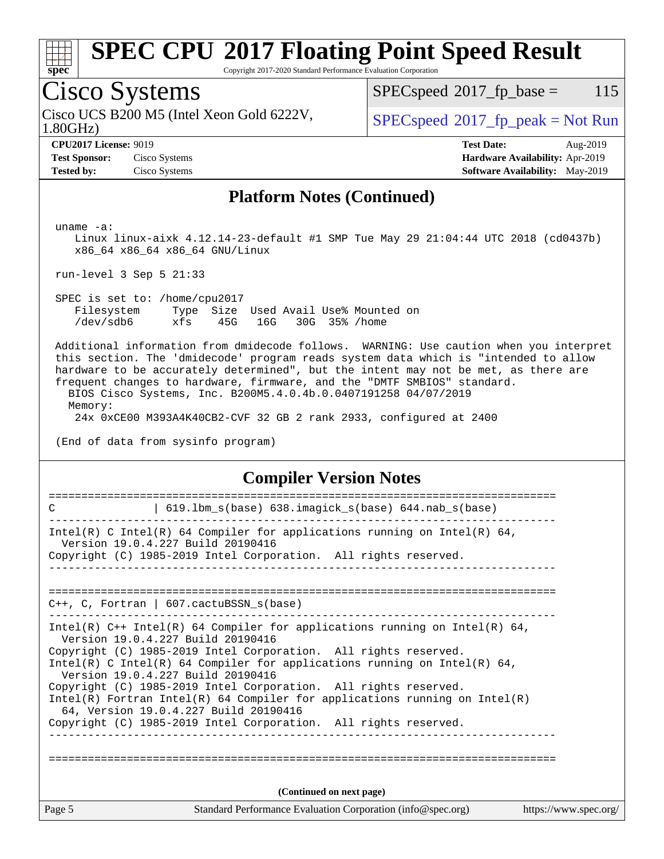

Copyright 2017-2020 Standard Performance Evaluation Corporation

# Cisco Systems

1.80GHz) Cisco UCS B200 M5 (Intel Xeon Gold 6222V,  $\begin{array}{c|c} \text{SPEC speed} \text{?}2017\_fp\_peak = Not Run \end{array}$ 

 $SPECspeed^{\circledcirc}2017_fp\_base = 115$  $SPECspeed^{\circledcirc}2017_fp\_base = 115$ 

**[CPU2017 License:](http://www.spec.org/auto/cpu2017/Docs/result-fields.html#CPU2017License)** 9019 **[Test Date:](http://www.spec.org/auto/cpu2017/Docs/result-fields.html#TestDate)** Aug-2019 **[Test Sponsor:](http://www.spec.org/auto/cpu2017/Docs/result-fields.html#TestSponsor)** Cisco Systems **[Hardware Availability:](http://www.spec.org/auto/cpu2017/Docs/result-fields.html#HardwareAvailability)** Apr-2019 **[Tested by:](http://www.spec.org/auto/cpu2017/Docs/result-fields.html#Testedby)** Cisco Systems **[Software Availability:](http://www.spec.org/auto/cpu2017/Docs/result-fields.html#SoftwareAvailability)** May-2019

### **[Platform Notes \(Continued\)](http://www.spec.org/auto/cpu2017/Docs/result-fields.html#PlatformNotes)**

uname -a:

 Linux linux-aixk 4.12.14-23-default #1 SMP Tue May 29 21:04:44 UTC 2018 (cd0437b) x86\_64 x86\_64 x86\_64 GNU/Linux

run-level 3 Sep 5 21:33

 SPEC is set to: /home/cpu2017 Filesystem Type Size Used Avail Use% Mounted on /dev/sdb6 xfs 45G 16G 30G 35% /home

 Additional information from dmidecode follows. WARNING: Use caution when you interpret this section. The 'dmidecode' program reads system data which is "intended to allow hardware to be accurately determined", but the intent may not be met, as there are frequent changes to hardware, firmware, and the "DMTF SMBIOS" standard.

 BIOS Cisco Systems, Inc. B200M5.4.0.4b.0.0407191258 04/07/2019 Memory:

24x 0xCE00 M393A4K40CB2-CVF 32 GB 2 rank 2933, configured at 2400

(End of data from sysinfo program)

### **[Compiler Version Notes](http://www.spec.org/auto/cpu2017/Docs/result-fields.html#CompilerVersionNotes)**

| Page 5 | Standard Performance Evaluation Corporation (info@spec.org)                                                                                                                          | https://www.spec.org/ |
|--------|--------------------------------------------------------------------------------------------------------------------------------------------------------------------------------------|-----------------------|
|        | (Continued on next page)                                                                                                                                                             |                       |
|        | 64, Version 19.0.4.227 Build 20190416<br>Copyright (C) 1985-2019 Intel Corporation. All rights reserved.                                                                             |                       |
|        | Version 19.0.4.227 Build 20190416<br>Copyright (C) 1985-2019 Intel Corporation. All rights reserved.<br>Intel(R) Fortran Intel(R) 64 Compiler for applications running on $Intel(R)$ |                       |
|        | Version 19.0.4.227 Build 20190416<br>Copyright (C) 1985-2019 Intel Corporation. All rights reserved.<br>Intel(R) C Intel(R) 64 Compiler for applications running on Intel(R) 64,     |                       |
|        | Intel(R) $C++$ Intel(R) 64 Compiler for applications running on Intel(R) 64,                                                                                                         |                       |
|        | $C_{++}$ , C, Fortran   607. cactuBSSN s(base)                                                                                                                                       |                       |
|        |                                                                                                                                                                                      |                       |
|        | Intel(R) C Intel(R) 64 Compiler for applications running on Intel(R) 64,<br>Version 19.0.4.227 Build 20190416<br>Copyright (C) 1985-2019 Intel Corporation. All rights reserved.     |                       |
| C      | 619.1bm_s(base) 638.imagick_s(base) 644.nab_s(base)                                                                                                                                  |                       |
|        |                                                                                                                                                                                      |                       |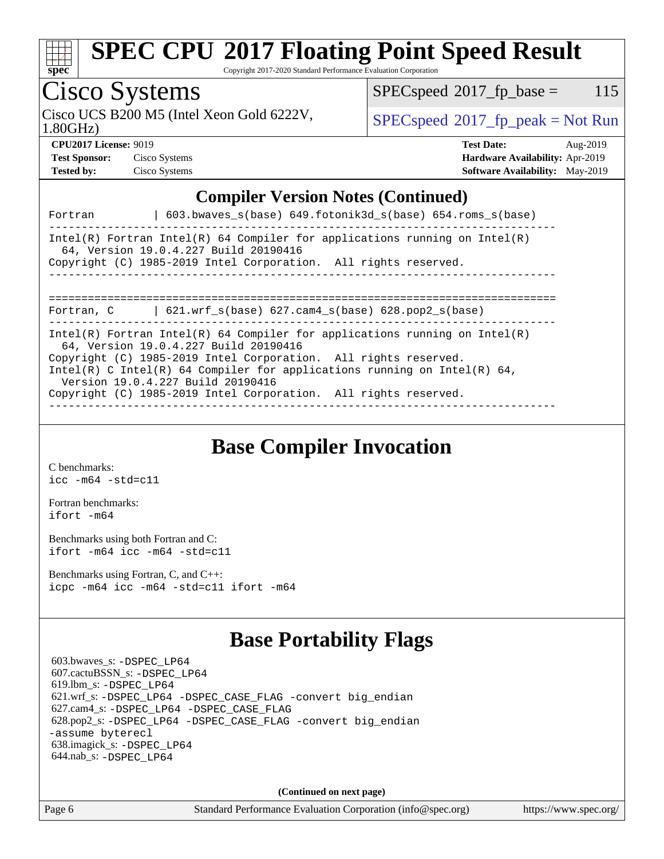

Copyright 2017-2020 Standard Performance Evaluation Corporation

## Cisco Systems

Cisco UCS B200 M5 (Intel Xeon Gold 6222V,  $\begin{array}{c|c} \text{SPEC speed} \text{?}2017\_fp\_peak = Not Run \end{array}$ 

 $SPECspeed^{\circ}2017\_fp\_base = 115$  $SPECspeed^{\circ}2017\_fp\_base = 115$ 

1.80GHz)

| <b>Test Sponsor:</b> | Cisco System: |
|----------------------|---------------|
| Tested by:           | Cisco System  |

**[CPU2017 License:](http://www.spec.org/auto/cpu2017/Docs/result-fields.html#CPU2017License)** 9019 **[Test Date:](http://www.spec.org/auto/cpu2017/Docs/result-fields.html#TestDate)** Aug-2019 **[Test Sponsor:](http://www.spec.org/auto/cpu2017/Docs/result-fields.html#TestSponsor)** Cisco Systems **[Hardware Availability:](http://www.spec.org/auto/cpu2017/Docs/result-fields.html#HardwareAvailability)** Apr-2019 **[Tested by:](http://www.spec.org/auto/cpu2017/Docs/result-fields.html#Testedby)** Constant [Software Availability:](http://www.spec.org/auto/cpu2017/Docs/result-fields.html#SoftwareAvailability) May-2019

## **[Compiler Version Notes \(Continued\)](http://www.spec.org/auto/cpu2017/Docs/result-fields.html#CompilerVersionNotes)**

| Fortran    | 603.bwayes $s(base)$ 649.fotonik3d $s(base)$ 654.roms $s(base)$                                                                                                                                                                                                                                                                                                            |
|------------|----------------------------------------------------------------------------------------------------------------------------------------------------------------------------------------------------------------------------------------------------------------------------------------------------------------------------------------------------------------------------|
|            | Intel(R) Fortran Intel(R) 64 Compiler for applications running on Intel(R)<br>64. Version 19.0.4.227 Build 20190416<br>Copyright (C) 1985-2019 Intel Corporation. All rights reserved.                                                                                                                                                                                     |
| Fortran, C | 621.wrf $s(base)$ 627.cam4 $s(base)$ 628.pop2 $s(base)$                                                                                                                                                                                                                                                                                                                    |
|            | Intel(R) Fortran Intel(R) 64 Compiler for applications running on Intel(R)<br>64, Version 19.0.4.227 Build 20190416<br>Copyright (C) 1985-2019 Intel Corporation. All rights reserved.<br>Intel(R) C Intel(R) 64 Compiler for applications running on Intel(R) 64,<br>Version 19.0.4.227 Build 20190416<br>Copyright (C) 1985-2019 Intel Corporation. All rights reserved. |

**[Base Compiler Invocation](http://www.spec.org/auto/cpu2017/Docs/result-fields.html#BaseCompilerInvocation)**

[C benchmarks](http://www.spec.org/auto/cpu2017/Docs/result-fields.html#Cbenchmarks): [icc -m64 -std=c11](http://www.spec.org/cpu2017/results/res2019q4/cpu2017-20190917-18423.flags.html#user_CCbase_intel_icc_64bit_c11_33ee0cdaae7deeeab2a9725423ba97205ce30f63b9926c2519791662299b76a0318f32ddfffdc46587804de3178b4f9328c46fa7c2b0cd779d7a61945c91cd35)

[Fortran benchmarks](http://www.spec.org/auto/cpu2017/Docs/result-fields.html#Fortranbenchmarks): [ifort -m64](http://www.spec.org/cpu2017/results/res2019q4/cpu2017-20190917-18423.flags.html#user_FCbase_intel_ifort_64bit_24f2bb282fbaeffd6157abe4f878425411749daecae9a33200eee2bee2fe76f3b89351d69a8130dd5949958ce389cf37ff59a95e7a40d588e8d3a57e0c3fd751)

[Benchmarks using both Fortran and C](http://www.spec.org/auto/cpu2017/Docs/result-fields.html#BenchmarksusingbothFortranandC): [ifort -m64](http://www.spec.org/cpu2017/results/res2019q4/cpu2017-20190917-18423.flags.html#user_CC_FCbase_intel_ifort_64bit_24f2bb282fbaeffd6157abe4f878425411749daecae9a33200eee2bee2fe76f3b89351d69a8130dd5949958ce389cf37ff59a95e7a40d588e8d3a57e0c3fd751) [icc -m64 -std=c11](http://www.spec.org/cpu2017/results/res2019q4/cpu2017-20190917-18423.flags.html#user_CC_FCbase_intel_icc_64bit_c11_33ee0cdaae7deeeab2a9725423ba97205ce30f63b9926c2519791662299b76a0318f32ddfffdc46587804de3178b4f9328c46fa7c2b0cd779d7a61945c91cd35)

[Benchmarks using Fortran, C, and C++:](http://www.spec.org/auto/cpu2017/Docs/result-fields.html#BenchmarksusingFortranCandCXX) [icpc -m64](http://www.spec.org/cpu2017/results/res2019q4/cpu2017-20190917-18423.flags.html#user_CC_CXX_FCbase_intel_icpc_64bit_4ecb2543ae3f1412ef961e0650ca070fec7b7afdcd6ed48761b84423119d1bf6bdf5cad15b44d48e7256388bc77273b966e5eb805aefd121eb22e9299b2ec9d9) [icc -m64 -std=c11](http://www.spec.org/cpu2017/results/res2019q4/cpu2017-20190917-18423.flags.html#user_CC_CXX_FCbase_intel_icc_64bit_c11_33ee0cdaae7deeeab2a9725423ba97205ce30f63b9926c2519791662299b76a0318f32ddfffdc46587804de3178b4f9328c46fa7c2b0cd779d7a61945c91cd35) [ifort -m64](http://www.spec.org/cpu2017/results/res2019q4/cpu2017-20190917-18423.flags.html#user_CC_CXX_FCbase_intel_ifort_64bit_24f2bb282fbaeffd6157abe4f878425411749daecae9a33200eee2bee2fe76f3b89351d69a8130dd5949958ce389cf37ff59a95e7a40d588e8d3a57e0c3fd751)

## **[Base Portability Flags](http://www.spec.org/auto/cpu2017/Docs/result-fields.html#BasePortabilityFlags)**

 603.bwaves\_s: [-DSPEC\\_LP64](http://www.spec.org/cpu2017/results/res2019q4/cpu2017-20190917-18423.flags.html#suite_basePORTABILITY603_bwaves_s_DSPEC_LP64) 607.cactuBSSN\_s: [-DSPEC\\_LP64](http://www.spec.org/cpu2017/results/res2019q4/cpu2017-20190917-18423.flags.html#suite_basePORTABILITY607_cactuBSSN_s_DSPEC_LP64) 619.lbm\_s: [-DSPEC\\_LP64](http://www.spec.org/cpu2017/results/res2019q4/cpu2017-20190917-18423.flags.html#suite_basePORTABILITY619_lbm_s_DSPEC_LP64) 621.wrf\_s: [-DSPEC\\_LP64](http://www.spec.org/cpu2017/results/res2019q4/cpu2017-20190917-18423.flags.html#suite_basePORTABILITY621_wrf_s_DSPEC_LP64) [-DSPEC\\_CASE\\_FLAG](http://www.spec.org/cpu2017/results/res2019q4/cpu2017-20190917-18423.flags.html#b621.wrf_s_baseCPORTABILITY_DSPEC_CASE_FLAG) [-convert big\\_endian](http://www.spec.org/cpu2017/results/res2019q4/cpu2017-20190917-18423.flags.html#user_baseFPORTABILITY621_wrf_s_convert_big_endian_c3194028bc08c63ac5d04de18c48ce6d347e4e562e8892b8bdbdc0214820426deb8554edfa529a3fb25a586e65a3d812c835984020483e7e73212c4d31a38223) 627.cam4\_s: [-DSPEC\\_LP64](http://www.spec.org/cpu2017/results/res2019q4/cpu2017-20190917-18423.flags.html#suite_basePORTABILITY627_cam4_s_DSPEC_LP64) [-DSPEC\\_CASE\\_FLAG](http://www.spec.org/cpu2017/results/res2019q4/cpu2017-20190917-18423.flags.html#b627.cam4_s_baseCPORTABILITY_DSPEC_CASE_FLAG) 628.pop2\_s: [-DSPEC\\_LP64](http://www.spec.org/cpu2017/results/res2019q4/cpu2017-20190917-18423.flags.html#suite_basePORTABILITY628_pop2_s_DSPEC_LP64) [-DSPEC\\_CASE\\_FLAG](http://www.spec.org/cpu2017/results/res2019q4/cpu2017-20190917-18423.flags.html#b628.pop2_s_baseCPORTABILITY_DSPEC_CASE_FLAG) [-convert big\\_endian](http://www.spec.org/cpu2017/results/res2019q4/cpu2017-20190917-18423.flags.html#user_baseFPORTABILITY628_pop2_s_convert_big_endian_c3194028bc08c63ac5d04de18c48ce6d347e4e562e8892b8bdbdc0214820426deb8554edfa529a3fb25a586e65a3d812c835984020483e7e73212c4d31a38223) [-assume byterecl](http://www.spec.org/cpu2017/results/res2019q4/cpu2017-20190917-18423.flags.html#user_baseFPORTABILITY628_pop2_s_assume_byterecl_7e47d18b9513cf18525430bbf0f2177aa9bf368bc7a059c09b2c06a34b53bd3447c950d3f8d6c70e3faf3a05c8557d66a5798b567902e8849adc142926523472) 638.imagick\_s: [-DSPEC\\_LP64](http://www.spec.org/cpu2017/results/res2019q4/cpu2017-20190917-18423.flags.html#suite_basePORTABILITY638_imagick_s_DSPEC_LP64) 644.nab\_s: [-DSPEC\\_LP64](http://www.spec.org/cpu2017/results/res2019q4/cpu2017-20190917-18423.flags.html#suite_basePORTABILITY644_nab_s_DSPEC_LP64)

**(Continued on next page)**

Page 6 Standard Performance Evaluation Corporation [\(info@spec.org\)](mailto:info@spec.org) <https://www.spec.org/>